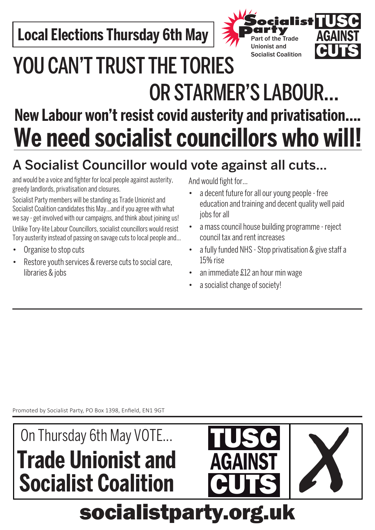**Local Elections Thursday 6th May** 



## YOU CAN'T TRUST THE TORIES OR STARMER'S LABOUR… **New Labour won't resist covid austerity and privatisation…. We need socialist councillors who will!**

### A Socialist Councillor would vote against all cuts…

and would be a voice and fighter for local people against austerity, greedy landlords, privatisation and closures.

Socialist Party members will be standing as Trade Unionist and Socialist Coalition candidates this May…and if you agree with what we say - get involved with our campaigns, and think about joining us! Unlike Tory-lite Labour Councillors, socialist councillors would resist Tory austerity instead of passing on savage cuts to local people and…

- Organise to stop cuts
- Restore youth services & reverse cuts to social care, libraries & jobs

And would fight for…

- a decent future for all our young people free education and training and decent quality well paid jobs for all
- a mass council house building programme reject council tax and rent increases
- a fully funded NHS Stop privatisation & give staff a 15% rise
- an immediate  $$12$  an hour min wage
- a socialist change of society!

Promoted by Socialist Party, PO Box 1398, Enfield, EN1 9GT